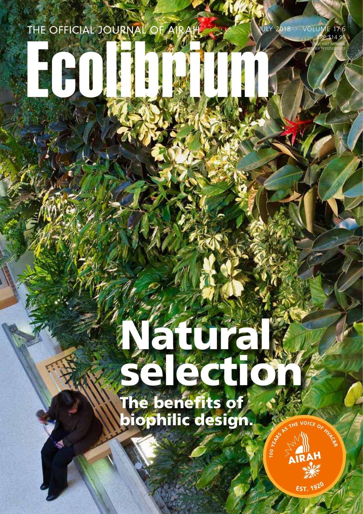THE OFFICIAL JOURNAL OF A

JULY 2018 · VOLUME 17.6 RRP \$14.95

> PRINT POST APPROVAL NUMBER PP352532/00001

# Natural selection of the selection The benefits of biophilic design.



1920